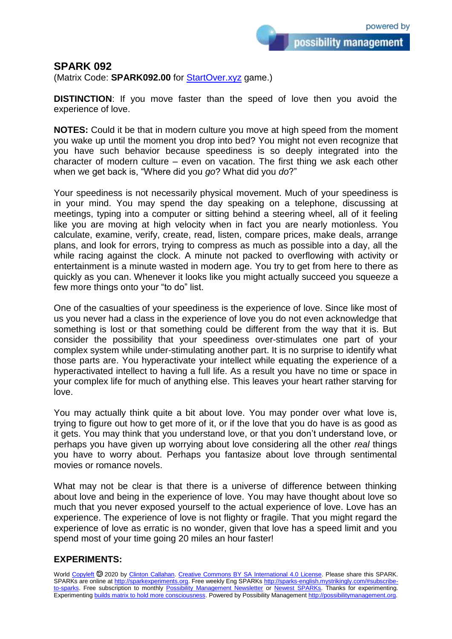possibility management

## **SPARK 092**

(Matrix Code: **SPARK092.00** for **StartOver.xyz** game.)

**DISTINCTION**: If you move faster than the speed of love then you avoid the experience of love.

**NOTES:** Could it be that in modern culture you move at high speed from the moment you wake up until the moment you drop into bed? You might not even recognize that you have such behavior because speediness is so deeply integrated into the character of modern culture – even on vacation. The first thing we ask each other when we get back is, "Where did you *go*? What did you *do*?"

Your speediness is not necessarily physical movement. Much of your speediness is in your mind. You may spend the day speaking on a telephone, discussing at meetings, typing into a computer or sitting behind a steering wheel, all of it feeling like you are moving at high velocity when in fact you are nearly motionless. You calculate, examine, verify, create, read, listen, compare prices, make deals, arrange plans, and look for errors, trying to compress as much as possible into a day, all the while racing against the clock. A minute not packed to overflowing with activity or entertainment is a minute wasted in modern age. You try to get from here to there as quickly as you can. Whenever it looks like you might actually succeed you squeeze a few more things onto your "to do" list.

One of the casualties of your speediness is the experience of love. Since like most of us you never had a class in the experience of love you do not even acknowledge that something is lost or that something could be different from the way that it is. But consider the possibility that your speediness over-stimulates one part of your complex system while under-stimulating another part. It is no surprise to identify what those parts are. You hyperactivate your intellect while equating the experience of a hyperactivated intellect to having a full life. As a result you have no time or space in your complex life for much of anything else. This leaves your heart rather starving for love.

You may actually think quite a bit about love. You may ponder over what love is, trying to figure out how to get more of it, or if the love that you do have is as good as it gets. You may think that you understand love, or that you don't understand love, or perhaps you have given up worrying about love considering all the other *real* things you have to worry about. Perhaps you fantasize about love through sentimental movies or romance novels.

What may not be clear is that there is a universe of difference between thinking about love and being in the experience of love. You may have thought about love so much that you never exposed yourself to the actual experience of love. Love has an experience. The experience of love is not flighty or fragile. That you might regard the experience of love as erratic is no wonder, given that love has a speed limit and you spend most of your time going 20 miles an hour faster!

## **EXPERIMENTS:**

World [Copyleft](https://en.wikipedia.org/wiki/Copyleft) <sup>®</sup> 2020 by [Clinton Callahan.](http://clintoncallahan.mystrikingly.com/) [Creative Commons BY SA International 4.0 License.](https://creativecommons.org/licenses/by-sa/4.0/) Please share this SPARK. SPARKs are online at [http://sparkexperiments.org.](http://sparks-english.mystrikingly.com/) Free weekly Eng SPARKs [http://sparks-english.mystrikingly.com/#subscribe](http://sparks-english.mystrikingly.com/#subscribe-to-sparks)[to-sparks.](http://sparks-english.mystrikingly.com/#subscribe-to-sparks) Free subscription to monthly [Possibility Management Newsletter](https://possibilitymanagement.org/news/) or [Newest SPARKs.](https://www.clintoncallahan.org/newsletter-1) Thanks for experimenting. Experimentin[g builds matrix to hold more consciousness.](http://spaceport.mystrikingly.com/) Powered by Possibility Managemen[t http://possibilitymanagement.org.](http://possibilitymanagement.org/)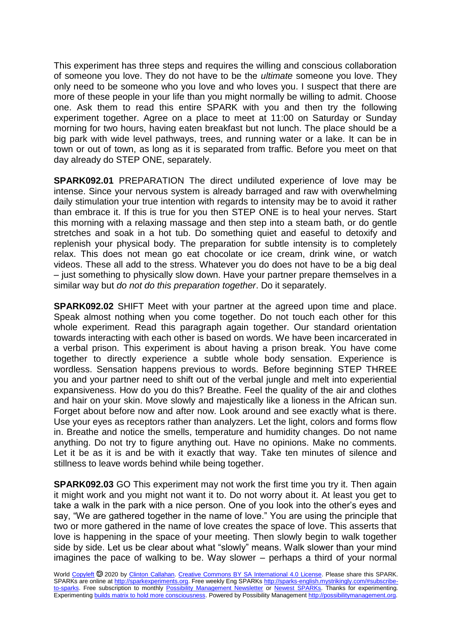This experiment has three steps and requires the willing and conscious collaboration of someone you love. They do not have to be the *ultimate* someone you love. They only need to be someone who you love and who loves you. I suspect that there are more of these people in your life than you might normally be willing to admit. Choose one. Ask them to read this entire SPARK with you and then try the following experiment together. Agree on a place to meet at 11:00 on Saturday or Sunday morning for two hours, having eaten breakfast but not lunch. The place should be a big park with wide level pathways, trees, and running water or a lake. It can be in town or out of town, as long as it is separated from traffic. Before you meet on that day already do STEP ONE, separately.

**SPARK092.01** PREPARATION The direct undiluted experience of love may be intense. Since your nervous system is already barraged and raw with overwhelming daily stimulation your true intention with regards to intensity may be to avoid it rather than embrace it. If this is true for you then STEP ONE is to heal your nerves. Start this morning with a relaxing massage and then step into a steam bath, or do gentle stretches and soak in a hot tub. Do something quiet and easeful to detoxify and replenish your physical body. The preparation for subtle intensity is to completely relax. This does not mean go eat chocolate or ice cream, drink wine, or watch videos. These all add to the stress. Whatever you do does not have to be a big deal – just something to physically slow down. Have your partner prepare themselves in a similar way but *do not do this preparation together*. Do it separately.

**SPARK092.02** SHIFT Meet with your partner at the agreed upon time and place. Speak almost nothing when you come together. Do not touch each other for this whole experiment. Read this paragraph again together. Our standard orientation towards interacting with each other is based on words. We have been incarcerated in a verbal prison. This experiment is about having a prison break. You have come together to directly experience a subtle whole body sensation. Experience is wordless. Sensation happens previous to words. Before beginning STEP THREE you and your partner need to shift out of the verbal jungle and melt into experiential expansiveness. How do you do this? Breathe. Feel the quality of the air and clothes and hair on your skin. Move slowly and majestically like a lioness in the African sun. Forget about before now and after now. Look around and see exactly what is there. Use your eyes as receptors rather than analyzers. Let the light, colors and forms flow in. Breathe and notice the smells, temperature and humidity changes. Do not name anything. Do not try to figure anything out. Have no opinions. Make no comments. Let it be as it is and be with it exactly that way. Take ten minutes of silence and stillness to leave words behind while being together.

**SPARK092.03** GO This experiment may not work the first time you try it. Then again it might work and you might not want it to. Do not worry about it. At least you get to take a walk in the park with a nice person. One of you look into the other's eyes and say, "We are gathered together in the name of love." You are using the principle that two or more gathered in the name of love creates the space of love. This asserts that love is happening in the space of your meeting. Then slowly begin to walk together side by side. Let us be clear about what "slowly" means. Walk slower than your mind imagines the pace of walking to be. Way slower – perhaps a third of your normal

World [Copyleft](https://en.wikipedia.org/wiki/Copyleft) <sup>®</sup> 2020 by [Clinton Callahan.](http://clintoncallahan.mystrikingly.com/) [Creative Commons BY SA International 4.0 License.](https://creativecommons.org/licenses/by-sa/4.0/) Please share this SPARK. SPARKs are online at [http://sparkexperiments.org.](http://sparks-english.mystrikingly.com/) Free weekly Eng SPARKs [http://sparks-english.mystrikingly.com/#subscribe](http://sparks-english.mystrikingly.com/#subscribe-to-sparks)[to-sparks.](http://sparks-english.mystrikingly.com/#subscribe-to-sparks) Free subscription to monthly [Possibility Management Newsletter](https://possibilitymanagement.org/news/) or [Newest SPARKs.](https://www.clintoncallahan.org/newsletter-1) Thanks for experimenting. Experimentin[g builds matrix to hold more consciousness.](http://spaceport.mystrikingly.com/) Powered by Possibility Managemen[t http://possibilitymanagement.org.](http://possibilitymanagement.org/)